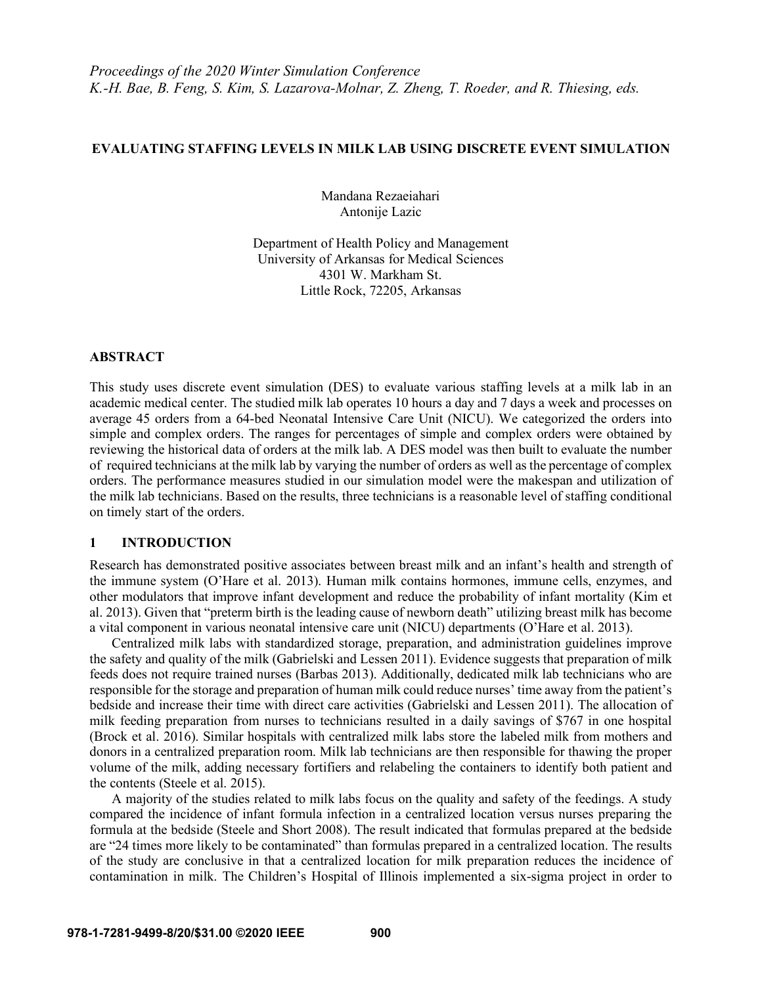#### **EVALUATING STAFFING LEVELS IN MILK LAB USING DISCRETE EVENT SIMULATION**

Mandana Rezaeiahari Antonije Lazic

Department of Health Policy and Management University of Arkansas for Medical Sciences 4301 W. Markham St. Little Rock, 72205, Arkansas

#### **ABSTRACT**

This study uses discrete event simulation (DES) to evaluate various staffing levels at a milk lab in an academic medical center. The studied milk lab operates 10 hours a day and 7 days a week and processes on average 45 orders from a 64-bed Neonatal Intensive Care Unit (NICU). We categorized the orders into simple and complex orders. The ranges for percentages of simple and complex orders were obtained by reviewing the historical data of orders at the milk lab. A DES model was then built to evaluate the number of required technicians at the milk lab by varying the number of orders as well as the percentage of complex orders. The performance measures studied in our simulation model were the makespan and utilization of the milk lab technicians. Based on the results, three technicians is a reasonable level of staffing conditional on timely start of the orders.

# **1 INTRODUCTION**

Research has demonstrated positive associates between breast milk and an infant's health and strength of the immune system (O'Hare et al. 2013). Human milk contains hormones, immune cells, enzymes, and other modulators that improve infant development and reduce the probability of infant mortality (Kim et al. 2013). Given that "preterm birth is the leading cause of newborn death" utilizing breast milk has become a vital component in various neonatal intensive care unit (NICU) departments (O'Hare et al. 2013).

Centralized milk labs with standardized storage, preparation, and administration guidelines improve the safety and quality of the milk (Gabrielski and Lessen 2011). Evidence suggests that preparation of milk feeds does not require trained nurses (Barbas 2013). Additionally, dedicated milk lab technicians who are responsible for the storage and preparation of human milk could reduce nurses' time away from the patient's bedside and increase their time with direct care activities (Gabrielski and Lessen 2011). The allocation of milk feeding preparation from nurses to technicians resulted in a daily savings of \$767 in one hospital (Brock et al. 2016). Similar hospitals with centralized milk labs store the labeled milk from mothers and donors in a centralized preparation room. Milk lab technicians are then responsible for thawing the proper volume of the milk, adding necessary fortifiers and relabeling the containers to identify both patient and the contents (Steele et al. 2015).

A majority of the studies related to milk labs focus on the quality and safety of the feedings. A study compared the incidence of infant formula infection in a centralized location versus nurses preparing the formula at the bedside (Steele and Short 2008). The result indicated that formulas prepared at the bedside are "24 times more likely to be contaminated" than formulas prepared in a centralized location. The results of the study are conclusive in that a centralized location for milk preparation reduces the incidence of contamination in milk. The Children's Hospital of Illinois implemented a six-sigma project in order to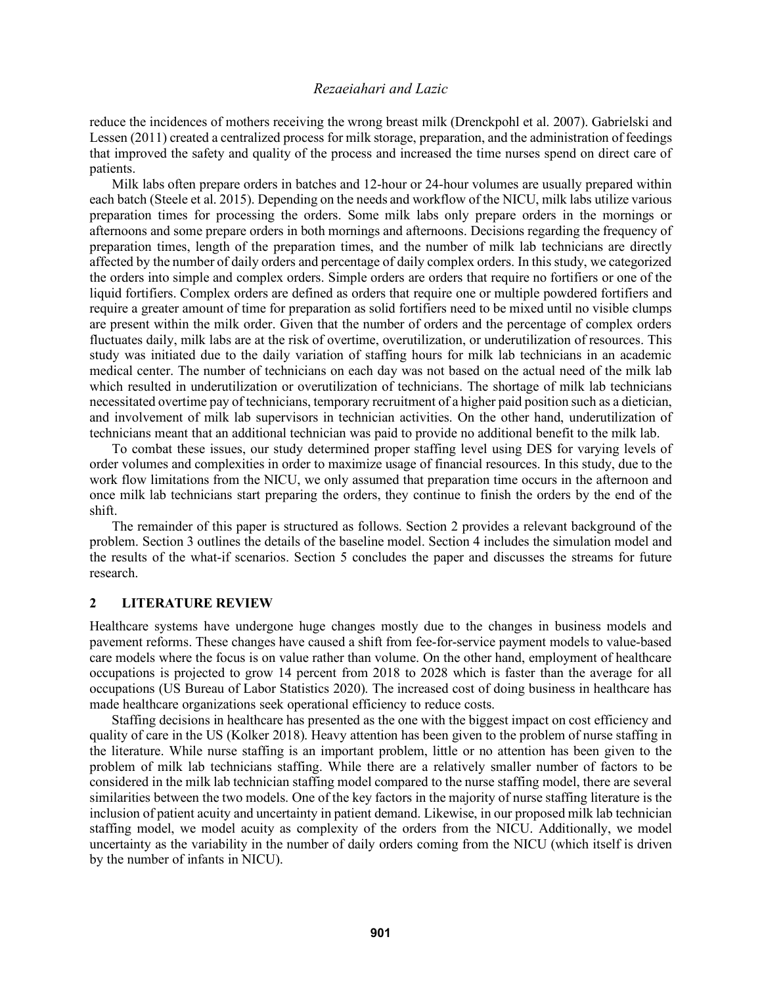reduce the incidences of mothers receiving the wrong breast milk (Drenckpohl et al. 2007). Gabrielski and Lessen (2011) created a centralized process for milk storage, preparation, and the administration of feedings that improved the safety and quality of the process and increased the time nurses spend on direct care of patients.

Milk labs often prepare orders in batches and 12-hour or 24-hour volumes are usually prepared within each batch (Steele et al. 2015). Depending on the needs and workflow of the NICU, milk labs utilize various preparation times for processing the orders. Some milk labs only prepare orders in the mornings or afternoons and some prepare orders in both mornings and afternoons. Decisions regarding the frequency of preparation times, length of the preparation times, and the number of milk lab technicians are directly affected by the number of daily orders and percentage of daily complex orders. In this study, we categorized the orders into simple and complex orders. Simple orders are orders that require no fortifiers or one of the liquid fortifiers. Complex orders are defined as orders that require one or multiple powdered fortifiers and require a greater amount of time for preparation as solid fortifiers need to be mixed until no visible clumps are present within the milk order. Given that the number of orders and the percentage of complex orders fluctuates daily, milk labs are at the risk of overtime, overutilization, or underutilization of resources. This study was initiated due to the daily variation of staffing hours for milk lab technicians in an academic medical center. The number of technicians on each day was not based on the actual need of the milk lab which resulted in underutilization or overutilization of technicians. The shortage of milk lab technicians necessitated overtime pay of technicians, temporary recruitment of a higher paid position such as a dietician, and involvement of milk lab supervisors in technician activities. On the other hand, underutilization of technicians meant that an additional technician was paid to provide no additional benefit to the milk lab.

To combat these issues, our study determined proper staffing level using DES for varying levels of order volumes and complexities in order to maximize usage of financial resources. In this study, due to the work flow limitations from the NICU, we only assumed that preparation time occurs in the afternoon and once milk lab technicians start preparing the orders, they continue to finish the orders by the end of the shift.

The remainder of this paper is structured as follows. Section 2 provides a relevant background of the problem. Section 3 outlines the details of the baseline model. Section 4 includes the simulation model and the results of the what-if scenarios. Section 5 concludes the paper and discusses the streams for future research.

#### **2 LITERATURE REVIEW**

Healthcare systems have undergone huge changes mostly due to the changes in business models and pavement reforms. These changes have caused a shift from fee-for-service payment models to value-based care models where the focus is on value rather than volume. On the other hand, employment of healthcare occupations is projected to grow 14 percent from 2018 to 2028 which is faster than the average for all occupations (US Bureau of Labor Statistics 2020). The increased cost of doing business in healthcare has made healthcare organizations seek operational efficiency to reduce costs.

Staffing decisions in healthcare has presented as the one with the biggest impact on cost efficiency and quality of care in the US (Kolker 2018). Heavy attention has been given to the problem of nurse staffing in the literature. While nurse staffing is an important problem, little or no attention has been given to the problem of milk lab technicians staffing. While there are a relatively smaller number of factors to be considered in the milk lab technician staffing model compared to the nurse staffing model, there are several similarities between the two models. One of the key factors in the majority of nurse staffing literature is the inclusion of patient acuity and uncertainty in patient demand. Likewise, in our proposed milk lab technician staffing model, we model acuity as complexity of the orders from the NICU. Additionally, we model uncertainty as the variability in the number of daily orders coming from the NICU (which itself is driven by the number of infants in NICU).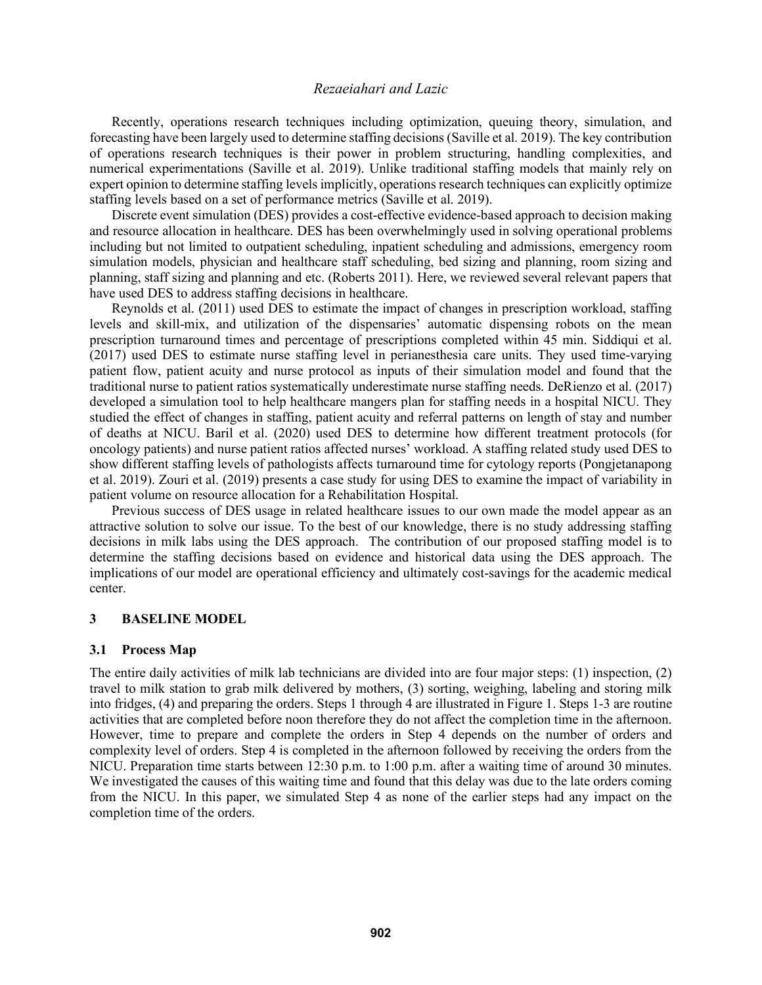Recently, operations research techniques including optimization, queuing theory, simulation, and forecasting have been largely used to determine staffing decisions (Saville et al. 2019). The key contribution of operations research techniques is their power in problem structuring, handling complexities, and numerical experimentations (Saville et al. 2019). Unlike traditional staffing models that mainly rely on expert opinion to determine staffing levels implicitly, operations research techniques can explicitly optimize staffing levels based on a set of performance metrics (Saville et al. 2019).

Discrete event simulation (DES) provides a cost-effective evidence-based approach to decision making and resource allocation in healthcare. DES has been overwhelmingly used in solving operational problems including but not limited to outpatient scheduling, inpatient scheduling and admissions, emergency room simulation models, physician and healthcare staff scheduling, bed sizing and planning, room sizing and planning, staff sizing and planning and etc. (Roberts 2011). Here, we reviewed several relevant papers that have used DES to address staffing decisions in healthcare.

Reynolds et al. (2011) used DES to estimate the impact of changes in prescription workload, staffing levels and skill-mix, and utilization of the dispensaries' automatic dispensing robots on the mean prescription turnaround times and percentage of prescriptions completed within 45 min. Siddiqui et al. (2017) used DES to estimate nurse staffing level in perianesthesia care units. They used time-varying patient flow, patient acuity and nurse protocol as inputs of their simulation model and found that the traditional nurse to patient ratios systematically underestimate nurse staffing needs. DeRienzo et al. (2017) developed a simulation tool to help healthcare mangers plan for staffing needs in a hospital NICU. They studied the effect of changes in staffing, patient acuity and referral patterns on length of stay and number of deaths at NICU. Baril et al. (2020) used DES to determine how different treatment protocols (for oncology patients) and nurse patient ratios affected nurses' workload. A staffing related study used DES to show different staffing levels of pathologists affects turnaround time for cytology reports (Pongjetanapong et al. 2019). Zouri et al. (2019) presents a case study for using DES to examine the impact of variability in patient volume on resource allocation for a Rehabilitation Hospital.

Previous success of DES usage in related healthcare issues to our own made the model appear as an attractive solution to solve our issue. To the best of our knowledge, there is no study addressing staffing decisions in milk labs using the DES approach. The contribution of our proposed staffing model is to determine the staffing decisions based on evidence and historical data using the DES approach. The implications of our model are operational efficiency and ultimately cost-savings for the academic medical center.

#### **3 BASELINE MODEL**

#### **3.1 Process Map**

The entire daily activities of milk lab technicians are divided into are four major steps: (1) inspection, (2) travel to milk station to grab milk delivered by mothers, (3) sorting, weighing, labeling and storing milk into fridges, (4) and preparing the orders. Steps 1 through 4 are illustrated in Figure 1. Steps 1-3 are routine activities that are completed before noon therefore they do not affect the completion time in the afternoon. However, time to prepare and complete the orders in Step 4 depends on the number of orders and complexity level of orders. Step 4 is completed in the afternoon followed by receiving the orders from the NICU. Preparation time starts between 12:30 p.m. to 1:00 p.m. after a waiting time of around 30 minutes. We investigated the causes of this waiting time and found that this delay was due to the late orders coming from the NICU. In this paper, we simulated Step 4 as none of the earlier steps had any impact on the completion time of the orders.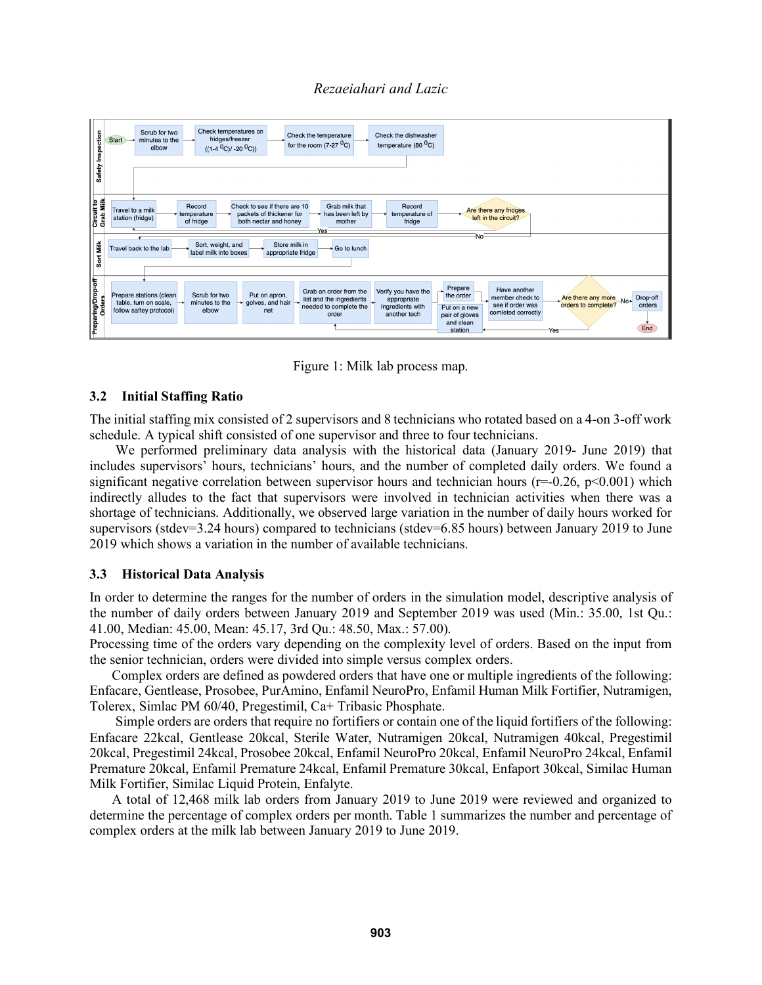

Figure 1: Milk lab process map.

# **3.2 Initial Staffing Ratio**

The initial staffing mix consisted of 2 supervisors and 8 technicians who rotated based on a 4-on 3-off work schedule. A typical shift consisted of one supervisor and three to four technicians.

We performed preliminary data analysis with the historical data (January 2019- June 2019) that includes supervisors' hours, technicians' hours, and the number of completed daily orders. We found a significant negative correlation between supervisor hours and technician hours ( $r=0.26$ ,  $p<0.001$ ) which indirectly alludes to the fact that supervisors were involved in technician activities when there was a shortage of technicians. Additionally, we observed large variation in the number of daily hours worked for supervisors (stdev=3.24 hours) compared to technicians (stdev=6.85 hours) between January 2019 to June 2019 which shows a variation in the number of available technicians.

#### **3.3 Historical Data Analysis**

In order to determine the ranges for the number of orders in the simulation model, descriptive analysis of the number of daily orders between January 2019 and September 2019 was used (Min.: 35.00, 1st Qu.: 41.00, Median: 45.00, Mean: 45.17, 3rd Qu.: 48.50, Max.: 57.00).

Processing time of the orders vary depending on the complexity level of orders. Based on the input from the senior technician, orders were divided into simple versus complex orders.

Complex orders are defined as powdered orders that have one or multiple ingredients of the following: Enfacare, Gentlease, Prosobee, PurAmino, Enfamil NeuroPro, Enfamil Human Milk Fortifier, Nutramigen, Tolerex, Simlac PM 60/40, Pregestimil, Ca+ Tribasic Phosphate.

Simple orders are orders that require no fortifiers or contain one of the liquid fortifiers of the following: Enfacare 22kcal, Gentlease 20kcal, Sterile Water, Nutramigen 20kcal, Nutramigen 40kcal, Pregestimil 20kcal, Pregestimil 24kcal, Prosobee 20kcal, Enfamil NeuroPro 20kcal, Enfamil NeuroPro 24kcal, Enfamil Premature 20kcal, Enfamil Premature 24kcal, Enfamil Premature 30kcal, Enfaport 30kcal, Similac Human Milk Fortifier, Similac Liquid Protein, Enfalyte.

A total of 12,468 milk lab orders from January 2019 to June 2019 were reviewed and organized to determine the percentage of complex orders per month. Table 1 summarizes the number and percentage of complex orders at the milk lab between January 2019 to June 2019.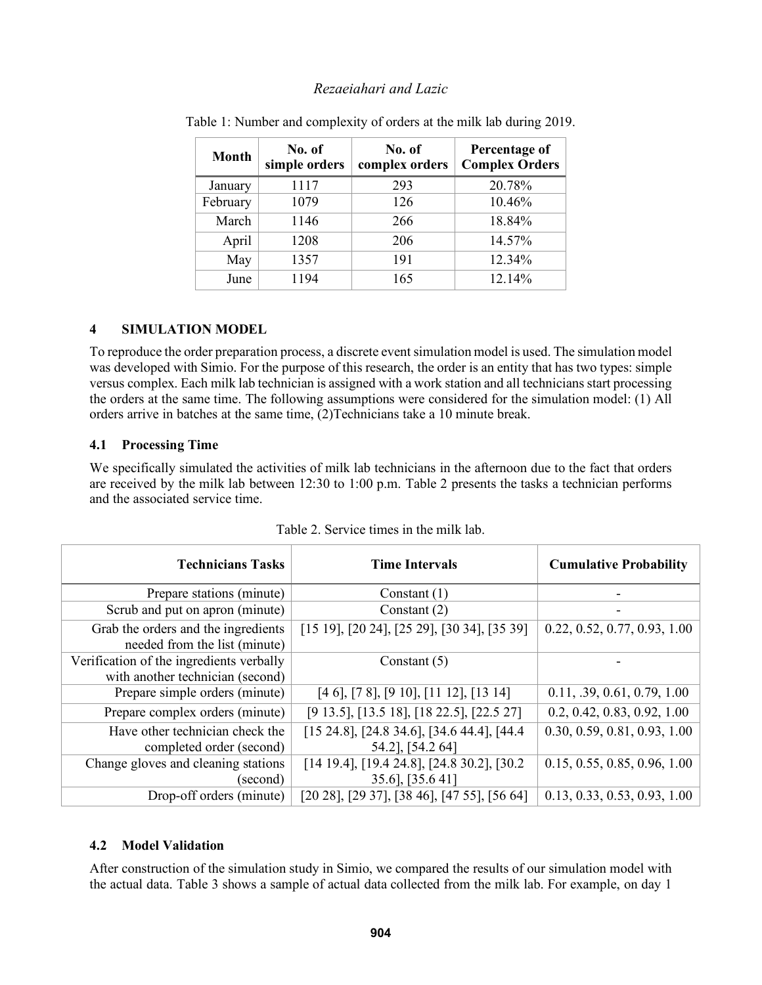| <b>Month</b> | No. of<br>simple orders | No. of<br>complex orders | Percentage of<br><b>Complex Orders</b> |
|--------------|-------------------------|--------------------------|----------------------------------------|
| January      | 1117                    | 293                      | 20.78%                                 |
| February     | 1079                    | 126                      | 10.46%                                 |
| March        | 1146                    | 266                      | 18.84%                                 |
| April        | 1208                    | 206                      | 14.57%                                 |
| May          | 1357                    | 191                      | 12.34%                                 |
| June         | 1194                    | 165                      | 12.14%                                 |

Table 1: Number and complexity of orders at the milk lab during 2019.

# **4 SIMULATION MODEL**

To reproduce the order preparation process, a discrete event simulation model is used. The simulation model was developed with Simio. For the purpose of this research, the order is an entity that has two types: simple versus complex. Each milk lab technician is assigned with a work station and all technicians start processing the orders at the same time. The following assumptions were considered for the simulation model: (1) All orders arrive in batches at the same time, (2)Technicians take a 10 minute break.

# **4.1 Processing Time**

We specifically simulated the activities of milk lab technicians in the afternoon due to the fact that orders are received by the milk lab between 12:30 to 1:00 p.m. Table 2 presents the tasks a technician performs and the associated service time.

| <b>Technicians Tasks</b>                                                     | <b>Time Intervals</b>                                                      | <b>Cumulative Probability</b> |
|------------------------------------------------------------------------------|----------------------------------------------------------------------------|-------------------------------|
| Prepare stations (minute)                                                    | Constant $(1)$                                                             |                               |
| Scrub and put on apron (minute)                                              | Constant $(2)$                                                             |                               |
| Grab the orders and the ingredients<br>needed from the list (minute)         | $[15 19]$ , $[20 24]$ , $[25 29]$ , $[30 34]$ , $[35 39]$                  | 0.22, 0.52, 0.77, 0.93, 1.00  |
| Verification of the ingredients verbally<br>with another technician (second) | Constant $(5)$                                                             |                               |
| Prepare simple orders (minute)                                               | $[4 6]$ , $[7 8]$ , $[9 10]$ , $[11 12]$ , $[13 14]$                       | 0.11, .39, 0.61, 0.79, 1.00   |
| Prepare complex orders (minute)                                              | [9 13.5], [13.5 18], [18 22.5], [22.5 27]                                  | 0.2, 0.42, 0.83, 0.92, 1.00   |
| Have other technician check the<br>completed order (second)                  | $[15 24.8]$ , $[24.8 34.6]$ , $[34.6 44.4]$ , $[44.4]$<br>54.2], [54.2 64] | 0.30, 0.59, 0.81, 0.93, 1.00  |
| Change gloves and cleaning stations<br>(second)                              | $[14 19.4]$ , $[19.4 24.8]$ , $[24.8 30.2]$ , $[30.2]$<br>35.6], [35.641]  | 0.15, 0.55, 0.85, 0.96, 1.00  |
| Drop-off orders (minute)                                                     | $[20 28]$ , $[29 37]$ , $[38 46]$ , $[47 55]$ , $[56 64]$                  | 0.13, 0.33, 0.53, 0.93, 1.00  |

| Table 2. Service times in the milk lab. |  |  |  |  |  |  |
|-----------------------------------------|--|--|--|--|--|--|
|-----------------------------------------|--|--|--|--|--|--|

# **4.2 Model Validation**

After construction of the simulation study in Simio, we compared the results of our simulation model with the actual data. Table 3 shows a sample of actual data collected from the milk lab. For example, on day 1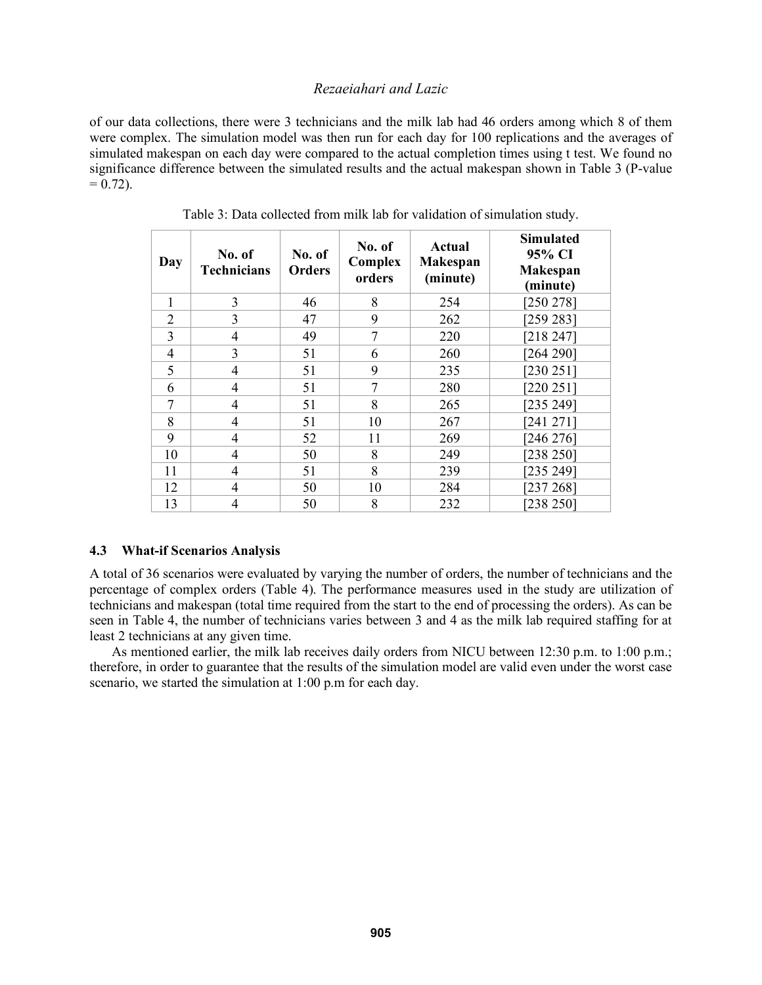of our data collections, there were 3 technicians and the milk lab had 46 orders among which 8 of them were complex. The simulation model was then run for each day for 100 replications and the averages of simulated makespan on each day were compared to the actual completion times using t test. We found no significance difference between the simulated results and the actual makespan shown in Table 3 (P-value  $= 0.72$ ).

| Day            | No. of<br><b>Technicians</b> | No. of<br><b>Orders</b> | No. of<br>Complex<br>orders | <b>Actual</b><br><b>Makespan</b><br>(minute) | <b>Simulated</b><br>95% CI<br><b>Makespan</b><br>(minute) |
|----------------|------------------------------|-------------------------|-----------------------------|----------------------------------------------|-----------------------------------------------------------|
| 1              | 3                            | 46                      | 8                           | 254                                          | [250 278]                                                 |
| $\overline{2}$ | 3                            | 47                      | 9                           | 262                                          | [259 283]                                                 |
| 3              | 4                            | 49                      | 7                           | 220                                          | [218 247]                                                 |
| $\overline{4}$ | 3                            | 51                      | 6                           | 260                                          | [264 290]                                                 |
| 5              | 4                            | 51                      | 9                           | 235                                          | [230 251]                                                 |
| 6              | 4                            | 51                      | 7                           | 280                                          | [220 251]                                                 |
| 7              | 4                            | 51                      | 8                           | 265                                          | [235 249]                                                 |
| 8              | 4                            | 51                      | 10                          | 267                                          | [241 271]                                                 |
| 9              | 4                            | 52                      | 11                          | 269                                          | [246 276]                                                 |
| 10             | 4                            | 50                      | 8                           | 249                                          | [238 250]                                                 |
| 11             | 4                            | 51                      | 8                           | 239                                          | [235 249]                                                 |
| 12             | 4                            | 50                      | 10                          | 284                                          | [237 268]                                                 |
| 13             | 4                            | 50                      | 8                           | 232                                          | [238 250]                                                 |

Table 3: Data collected from milk lab for validation of simulation study.

# **4.3 What-if Scenarios Analysis**

A total of 36 scenarios were evaluated by varying the number of orders, the number of technicians and the percentage of complex orders (Table 4). The performance measures used in the study are utilization of technicians and makespan (total time required from the start to the end of processing the orders). As can be seen in Table 4, the number of technicians varies between 3 and 4 as the milk lab required staffing for at least 2 technicians at any given time.

As mentioned earlier, the milk lab receives daily orders from NICU between 12:30 p.m. to 1:00 p.m.; therefore, in order to guarantee that the results of the simulation model are valid even under the worst case scenario, we started the simulation at 1:00 p.m for each day.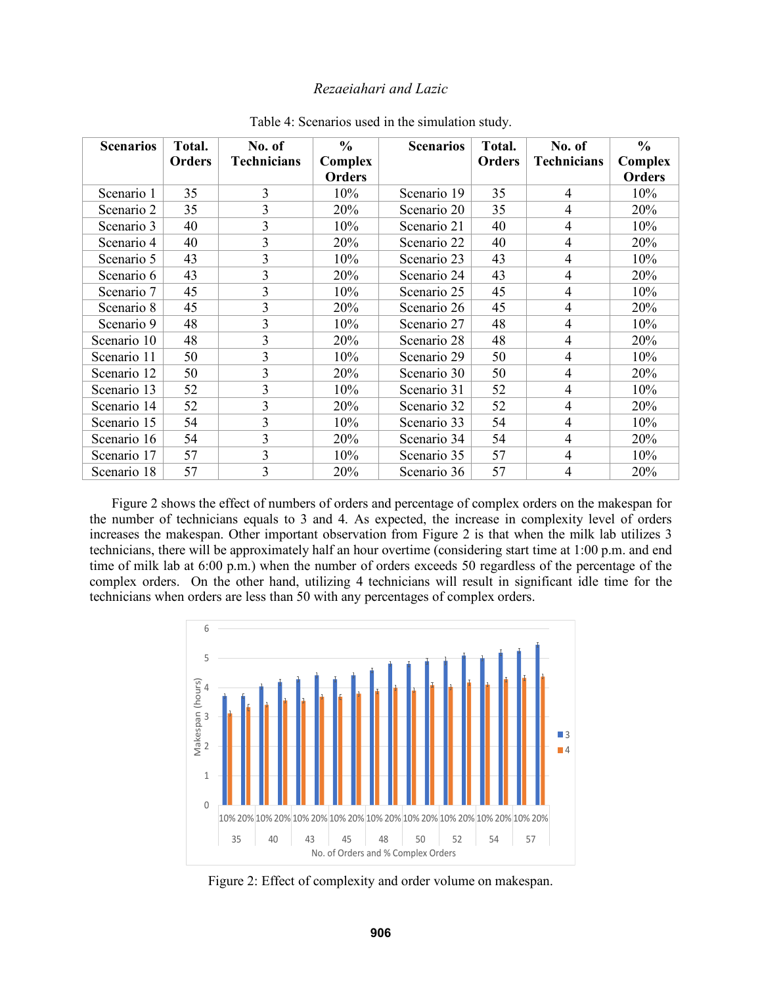| <b>Scenarios</b> | Total. | No. of                  | $\frac{0}{0}$ | <b>Scenarios</b> | Total. | No. of             | $\frac{6}{6}$ |
|------------------|--------|-------------------------|---------------|------------------|--------|--------------------|---------------|
|                  | Orders | <b>Technicians</b>      | Complex       |                  | Orders | <b>Technicians</b> | Complex       |
|                  |        |                         | <b>Orders</b> |                  |        |                    | <b>Orders</b> |
| Scenario 1       | 35     | 3                       | 10%           | Scenario 19      | 35     | 4                  | 10%           |
| Scenario 2       | 35     | $\overline{3}$          | 20%           | Scenario 20      | 35     | 4                  | 20%           |
| Scenario 3       | 40     | 3                       | 10%           | Scenario 21      | 40     | $\overline{4}$     | 10%           |
| Scenario 4       | 40     | $\overline{3}$          | 20%           | Scenario 22      | 40     | $\overline{4}$     | 20%           |
| Scenario 5       | 43     | 3                       | 10%           | Scenario 23      | 43     | 4                  | 10%           |
| Scenario 6       | 43     | 3                       | 20%           | Scenario 24      | 43     | 4                  | 20%           |
| Scenario 7       | 45     | 3                       | 10%           | Scenario 25      | 45     | 4                  | 10%           |
| Scenario 8       | 45     | 3                       | 20%           | Scenario 26      | 45     | $\overline{4}$     | 20%           |
| Scenario 9       | 48     | 3                       | 10%           | Scenario 27      | 48     | 4                  | 10%           |
| Scenario 10      | 48     | $\overline{3}$          | 20%           | Scenario 28      | 48     | 4                  | 20%           |
| Scenario 11      | 50     | $\overline{3}$          | 10%           | Scenario 29      | 50     | $\overline{4}$     | 10%           |
| Scenario 12      | 50     | $\overline{\mathbf{3}}$ | 20%           | Scenario 30      | 50     | 4                  | 20%           |
| Scenario 13      | 52     | $\overline{3}$          | 10%           | Scenario 31      | 52     | 4                  | 10%           |
| Scenario 14      | 52     | $\overline{3}$          | 20%           | Scenario 32      | 52     | 4                  | 20%           |
| Scenario 15      | 54     | 3                       | 10%           | Scenario 33      | 54     | $\overline{4}$     | 10%           |
| Scenario 16      | 54     | 3                       | 20%           | Scenario 34      | 54     | 4                  | 20%           |
| Scenario 17      | 57     | $\overline{3}$          | 10%           | Scenario 35      | 57     | 4                  | 10%           |
| Scenario 18      | 57     | 3                       | 20%           | Scenario 36      | 57     | 4                  | 20%           |

Table 4: Scenarios used in the simulation study.

Figure 2 shows the effect of numbers of orders and percentage of complex orders on the makespan for the number of technicians equals to 3 and 4. As expected, the increase in complexity level of orders increases the makespan. Other important observation from Figure 2 is that when the milk lab utilizes 3 technicians, there will be approximately half an hour overtime (considering start time at 1:00 p.m. and end time of milk lab at 6:00 p.m.) when the number of orders exceeds 50 regardless of the percentage of the complex orders. On the other hand, utilizing 4 technicians will result in significant idle time for the technicians when orders are less than 50 with any percentages of complex orders.



Figure 2: Effect of complexity and order volume on makespan.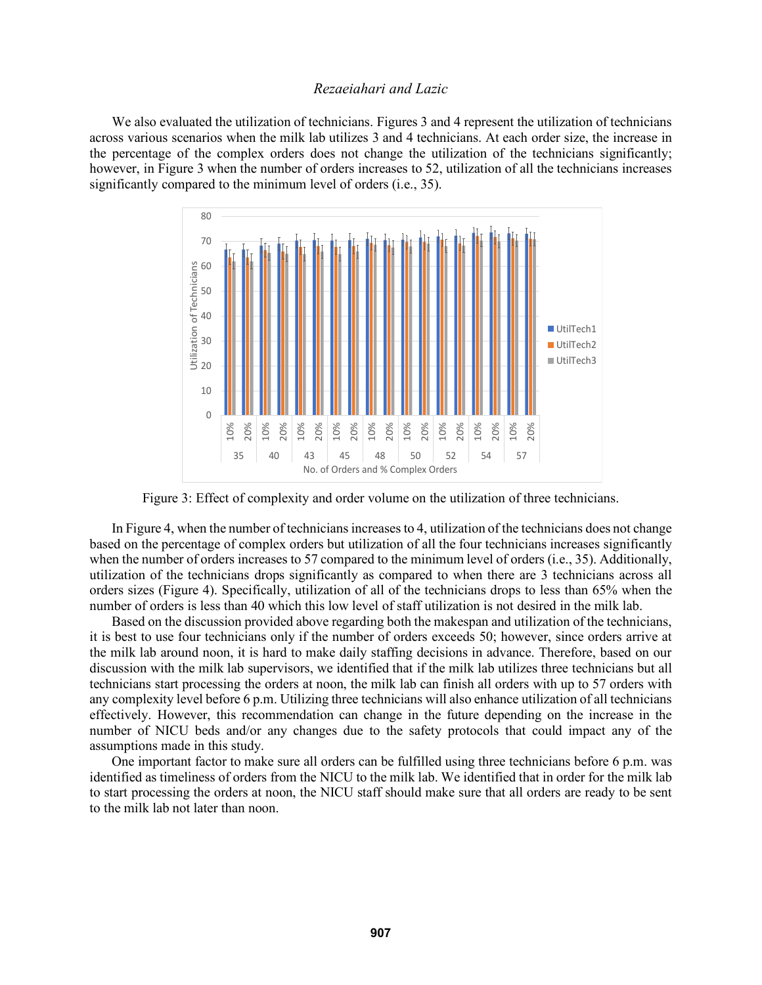We also evaluated the utilization of technicians. Figures 3 and 4 represent the utilization of technicians across various scenarios when the milk lab utilizes 3 and 4 technicians. At each order size, the increase in the percentage of the complex orders does not change the utilization of the technicians significantly; however, in Figure 3 when the number of orders increases to 52, utilization of all the technicians increases significantly compared to the minimum level of orders (i.e., 35).



Figure 3: Effect of complexity and order volume on the utilization of three technicians.

In Figure 4, when the number of technicians increases to 4, utilization of the technicians does not change based on the percentage of complex orders but utilization of all the four technicians increases significantly when the number of orders increases to 57 compared to the minimum level of orders (i.e., 35). Additionally, utilization of the technicians drops significantly as compared to when there are 3 technicians across all orders sizes (Figure 4). Specifically, utilization of all of the technicians drops to less than 65% when the number of orders is less than 40 which this low level of staff utilization is not desired in the milk lab.

Based on the discussion provided above regarding both the makespan and utilization of the technicians, it is best to use four technicians only if the number of orders exceeds 50; however, since orders arrive at the milk lab around noon, it is hard to make daily staffing decisions in advance. Therefore, based on our discussion with the milk lab supervisors, we identified that if the milk lab utilizes three technicians but all technicians start processing the orders at noon, the milk lab can finish all orders with up to 57 orders with any complexity level before 6 p.m. Utilizing three technicians will also enhance utilization of all technicians effectively. However, this recommendation can change in the future depending on the increase in the number of NICU beds and/or any changes due to the safety protocols that could impact any of the assumptions made in this study.

One important factor to make sure all orders can be fulfilled using three technicians before 6 p.m. was identified as timeliness of orders from the NICU to the milk lab. We identified that in order for the milk lab to start processing the orders at noon, the NICU staff should make sure that all orders are ready to be sent to the milk lab not later than noon.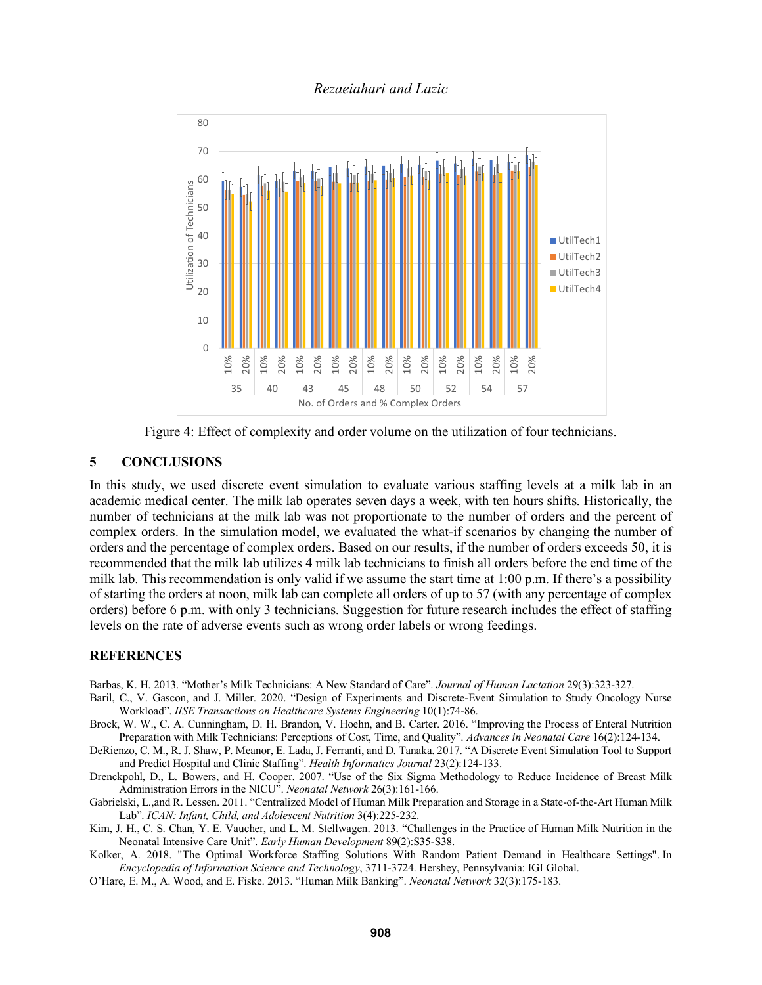

Figure 4: Effect of complexity and order volume on the utilization of four technicians.

# **5 CONCLUSIONS**

In this study, we used discrete event simulation to evaluate various staffing levels at a milk lab in an academic medical center. The milk lab operates seven days a week, with ten hours shifts. Historically, the number of technicians at the milk lab was not proportionate to the number of orders and the percent of complex orders. In the simulation model, we evaluated the what-if scenarios by changing the number of orders and the percentage of complex orders. Based on our results, if the number of orders exceeds 50, it is recommended that the milk lab utilizes 4 milk lab technicians to finish all orders before the end time of the milk lab. This recommendation is only valid if we assume the start time at 1:00 p.m. If there's a possibility of starting the orders at noon, milk lab can complete all orders of up to 57 (with any percentage of complex orders) before 6 p.m. with only 3 technicians. Suggestion for future research includes the effect of staffing levels on the rate of adverse events such as wrong order labels or wrong feedings.

#### **REFERENCES**

Barbas, K. H. 2013. "Mother's Milk Technicians: A New Standard of Care". *Journal of Human Lactation* 29(3):323-327.

- Baril, C., V. Gascon, and J. Miller. 2020. "Design of Experiments and Discrete-Event Simulation to Study Oncology Nurse Workload". *IISE Transactions on Healthcare Systems Engineering* 10(1):74-86.
- Brock, W. W., C. A. Cunningham, D. H. Brandon, V. Hoehn, and B. Carter. 2016. "Improving the Process of Enteral Nutrition Preparation with Milk Technicians: Perceptions of Cost, Time, and Quality". *Advances in Neonatal Care* 16(2):124-134.
- DeRienzo, C. M., R. J. Shaw, P. Meanor, E. Lada, J. Ferranti, and D. Tanaka. 2017. "A Discrete Event Simulation Tool to Support and Predict Hospital and Clinic Staffing". *Health Informatics Journal* 23(2):124-133.
- Drenckpohl, D., L. Bowers, and H. Cooper. 2007. "Use of the Six Sigma Methodology to Reduce Incidence of Breast Milk Administration Errors in the NICU". *Neonatal Network* 26(3):161-166.
- Gabrielski, L.,and R. Lessen. 2011. "Centralized Model of Human Milk Preparation and Storage in a State-of-the-Art Human Milk Lab". *ICAN: Infant, Child, and Adolescent Nutrition* 3(4):225-232.
- Kim, J. H., C. S. Chan, Y. E. Vaucher, and L. M. Stellwagen. 2013. "Challenges in the Practice of Human Milk Nutrition in the Neonatal Intensive Care Unit". *Early Human Development* 89(2):S35-S38.
- Kolker, A. 2018. "The Optimal Workforce Staffing Solutions With Random Patient Demand in Healthcare Settings". In *Encyclopedia of Information Science and Technology*, 3711-3724. Hershey, Pennsylvania: IGI Global.
- O'Hare, E. M., A. Wood, and E. Fiske. 2013. "Human Milk Banking". *Neonatal Network* 32(3):175-183.